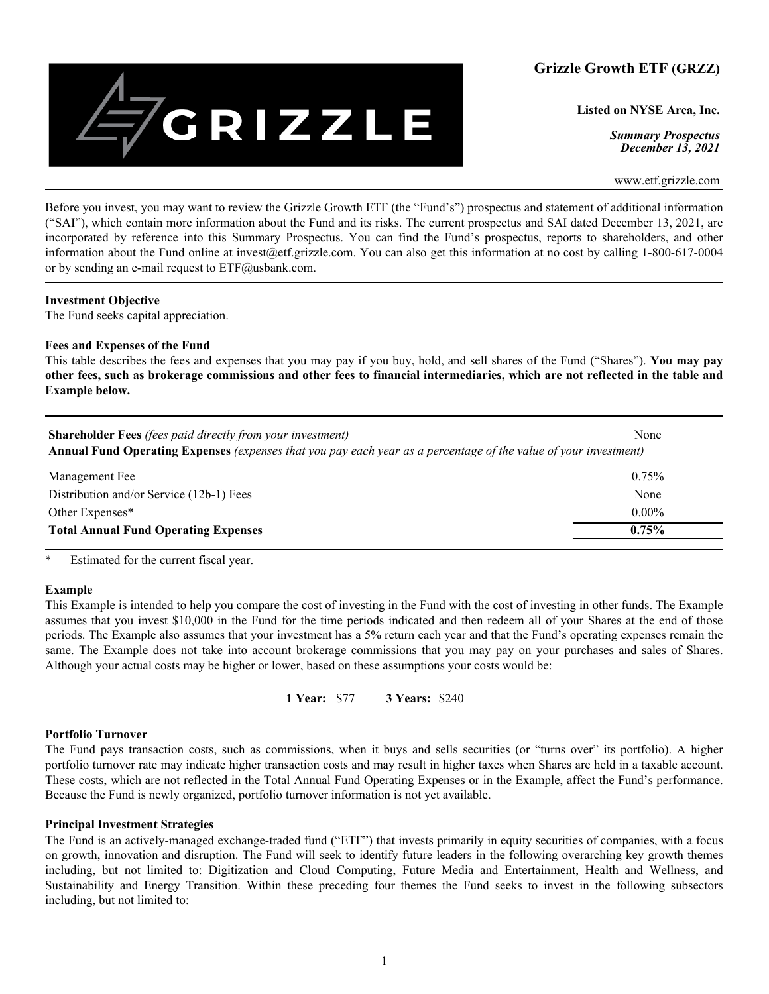

**Listed on NYSE Arca, Inc.**

*Summary Prospectus December 13, 2021*

www.etf.grizzle.com

Before you invest, you may want to review the Grizzle Growth ETF (the "Fund's") prospectus and statement of additional information ("SAI"), which contain more information about the Fund and its risks. The current prospectus and SAI dated December 13, 2021, are incorporated by reference into this Summary Prospectus. You can find the Fund's prospectus, reports to shareholders, and other information about the Fund online at invest@etf.grizzle.com. You can also get this information at no cost by calling 1-800-617-0004 or by sending an e-mail request to ETF@usbank.com.

## **Investment Objective**

The Fund seeks capital appreciation.

## **Fees and Expenses of the Fund**

This table describes the fees and expenses that you may pay if you buy, hold, and sell shares of the Fund ("Shares"). **You may pay other fees, such as brokerage commissions and other fees to financial intermediaries, which are not reflected in the table and Example below.**

| <b>Shareholder Fees</b> (fees paid directly from your investment)<br>Annual Fund Operating Expenses (expenses that you pay each year as a percentage of the value of your investment) | None     |
|---------------------------------------------------------------------------------------------------------------------------------------------------------------------------------------|----------|
| Management Fee                                                                                                                                                                        | $0.75\%$ |
| Distribution and/or Service (12b-1) Fees                                                                                                                                              | None     |
| Other Expenses*                                                                                                                                                                       | $0.00\%$ |
| <b>Total Annual Fund Operating Expenses</b>                                                                                                                                           | 0.75%    |

\* Estimated for the current fiscal year.

# **Example**

This Example is intended to help you compare the cost of investing in the Fund with the cost of investing in other funds. The Example assumes that you invest \$10,000 in the Fund for the time periods indicated and then redeem all of your Shares at the end of those periods. The Example also assumes that your investment has a 5% return each year and that the Fund's operating expenses remain the same. The Example does not take into account brokerage commissions that you may pay on your purchases and sales of Shares. Although your actual costs may be higher or lower, based on these assumptions your costs would be:

**1 Year:** \$77 **3 Years:** \$240

### **Portfolio Turnover**

The Fund pays transaction costs, such as commissions, when it buys and sells securities (or "turns over" its portfolio). A higher portfolio turnover rate may indicate higher transaction costs and may result in higher taxes when Shares are held in a taxable account. These costs, which are not reflected in the Total Annual Fund Operating Expenses or in the Example, affect the Fund's performance. Because the Fund is newly organized, portfolio turnover information is not yet available.

### **Principal Investment Strategies**

The Fund is an actively-managed exchange-traded fund ("ETF") that invests primarily in equity securities of companies, with a focus on growth, innovation and disruption. The Fund will seek to identify future leaders in the following overarching key growth themes including, but not limited to: Digitization and Cloud Computing, Future Media and Entertainment, Health and Wellness, and Sustainability and Energy Transition. Within these preceding four themes the Fund seeks to invest in the following subsectors including, but not limited to: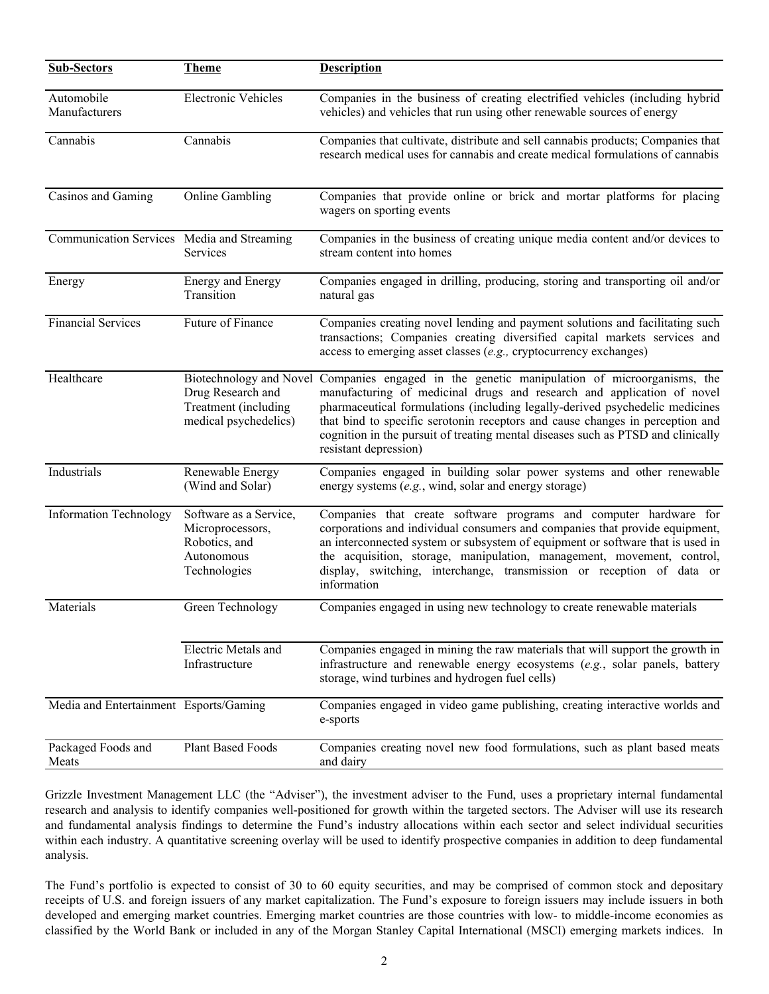| <b>Sub-Sectors</b>                         | <b>Theme</b>                                                                                  | <b>Description</b>                                                                                                                                                                                                                                                                                                                                                                                                           |
|--------------------------------------------|-----------------------------------------------------------------------------------------------|------------------------------------------------------------------------------------------------------------------------------------------------------------------------------------------------------------------------------------------------------------------------------------------------------------------------------------------------------------------------------------------------------------------------------|
| Automobile<br>Manufacturers                | <b>Electronic Vehicles</b>                                                                    | Companies in the business of creating electrified vehicles (including hybrid<br>vehicles) and vehicles that run using other renewable sources of energy                                                                                                                                                                                                                                                                      |
| Cannabis                                   | Cannabis                                                                                      | Companies that cultivate, distribute and sell cannabis products; Companies that<br>research medical uses for cannabis and create medical formulations of cannabis                                                                                                                                                                                                                                                            |
| Casinos and Gaming                         | <b>Online Gambling</b>                                                                        | Companies that provide online or brick and mortar platforms for placing<br>wagers on sporting events                                                                                                                                                                                                                                                                                                                         |
| Communication Services Media and Streaming | Services                                                                                      | Companies in the business of creating unique media content and/or devices to<br>stream content into homes                                                                                                                                                                                                                                                                                                                    |
| Energy                                     | <b>Energy and Energy</b><br>Transition                                                        | Companies engaged in drilling, producing, storing and transporting oil and/or<br>natural gas                                                                                                                                                                                                                                                                                                                                 |
| <b>Financial Services</b>                  | Future of Finance                                                                             | Companies creating novel lending and payment solutions and facilitating such<br>transactions; Companies creating diversified capital markets services and<br>access to emerging asset classes (e.g., cryptocurrency exchanges)                                                                                                                                                                                               |
| Healthcare                                 | Biotechnology and Novel<br>Drug Research and<br>Treatment (including<br>medical psychedelics) | Companies engaged in the genetic manipulation of microorganisms, the<br>manufacturing of medicinal drugs and research and application of novel<br>pharmaceutical formulations (including legally-derived psychedelic medicines<br>that bind to specific serotonin receptors and cause changes in perception and<br>cognition in the pursuit of treating mental diseases such as PTSD and clinically<br>resistant depression) |
| Industrials                                | Renewable Energy<br>(Wind and Solar)                                                          | Companies engaged in building solar power systems and other renewable<br>energy systems (e.g., wind, solar and energy storage)                                                                                                                                                                                                                                                                                               |
| <b>Information Technology</b>              | Software as a Service,<br>Microprocessors,<br>Robotics, and<br>Autonomous<br>Technologies     | Companies that create software programs and computer hardware for<br>corporations and individual consumers and companies that provide equipment,<br>an interconnected system or subsystem of equipment or software that is used in<br>the acquisition, storage, manipulation, management, movement, control,<br>display, switching, interchange, transmission or reception of data or<br>information                         |
| Materials                                  | Green Technology                                                                              | Companies engaged in using new technology to create renewable materials                                                                                                                                                                                                                                                                                                                                                      |
|                                            | Electric Metals and<br>Infrastructure                                                         | Companies engaged in mining the raw materials that will support the growth in<br>infrastructure and renewable energy ecosystems (e.g., solar panels, battery<br>storage, wind turbines and hydrogen fuel cells)                                                                                                                                                                                                              |
| Media and Entertainment Esports/Gaming     |                                                                                               | Companies engaged in video game publishing, creating interactive worlds and<br>e-sports                                                                                                                                                                                                                                                                                                                                      |
| Packaged Foods and<br>Meats                | Plant Based Foods                                                                             | Companies creating novel new food formulations, such as plant based meats<br>and dairy                                                                                                                                                                                                                                                                                                                                       |

Grizzle Investment Management LLC (the "Adviser"), the investment adviser to the Fund, uses a proprietary internal fundamental research and analysis to identify companies well-positioned for growth within the targeted sectors. The Adviser will use its research and fundamental analysis findings to determine the Fund's industry allocations within each sector and select individual securities within each industry. A quantitative screening overlay will be used to identify prospective companies in addition to deep fundamental analysis.

The Fund's portfolio is expected to consist of 30 to 60 equity securities, and may be comprised of common stock and depositary receipts of U.S. and foreign issuers of any market capitalization. The Fund's exposure to foreign issuers may include issuers in both developed and emerging market countries. Emerging market countries are those countries with low- to middle-income economies as classified by the World Bank or included in any of the Morgan Stanley Capital International (MSCI) emerging markets indices. In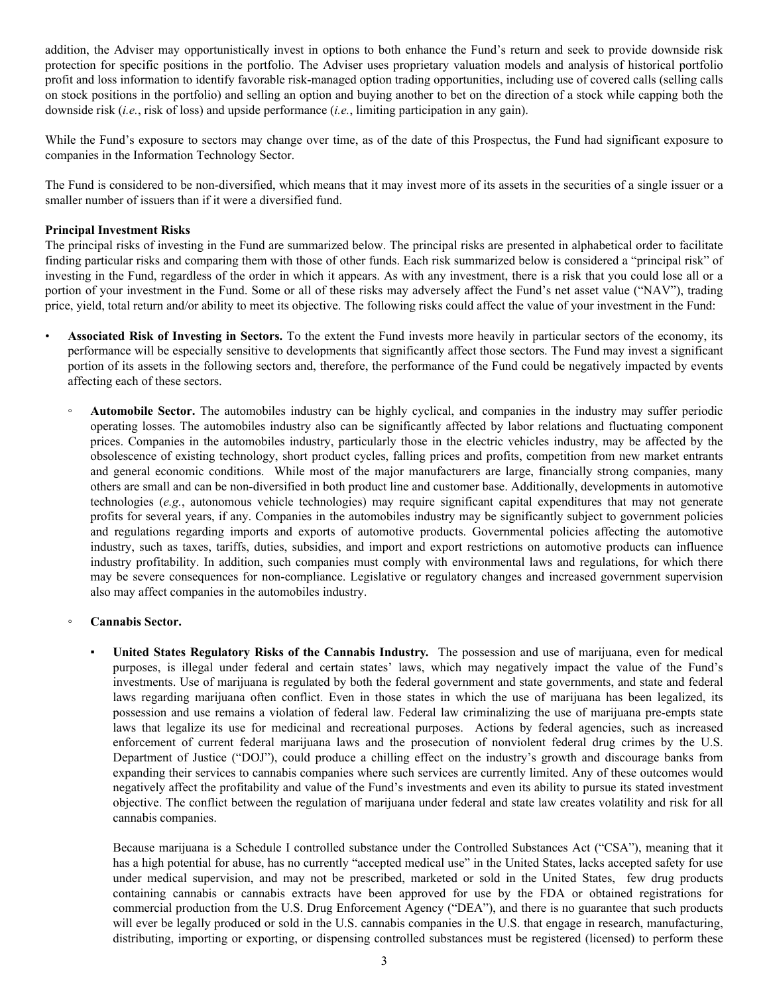addition, the Adviser may opportunistically invest in options to both enhance the Fund's return and seek to provide downside risk protection for specific positions in the portfolio. The Adviser uses proprietary valuation models and analysis of historical portfolio profit and loss information to identify favorable risk-managed option trading opportunities, including use of covered calls (selling calls on stock positions in the portfolio) and selling an option and buying another to bet on the direction of a stock while capping both the downside risk (*i.e.*, risk of loss) and upside performance (*i.e.*, limiting participation in any gain).

While the Fund's exposure to sectors may change over time, as of the date of this Prospectus, the Fund had significant exposure to companies in the Information Technology Sector.

The Fund is considered to be non-diversified, which means that it may invest more of its assets in the securities of a single issuer or a smaller number of issuers than if it were a diversified fund.

# **Principal Investment Risks**

The principal risks of investing in the Fund are summarized below. The principal risks are presented in alphabetical order to facilitate finding particular risks and comparing them with those of other funds. Each risk summarized below is considered a "principal risk" of investing in the Fund, regardless of the order in which it appears. As with any investment, there is a risk that you could lose all or a portion of your investment in the Fund. Some or all of these risks may adversely affect the Fund's net asset value ("NAV"), trading price, yield, total return and/or ability to meet its objective. The following risks could affect the value of your investment in the Fund:

- **Associated Risk of Investing in Sectors.** To the extent the Fund invests more heavily in particular sectors of the economy, its performance will be especially sensitive to developments that significantly affect those sectors. The Fund may invest a significant portion of its assets in the following sectors and, therefore, the performance of the Fund could be negatively impacted by events affecting each of these sectors.
	- **Automobile Sector.** The automobiles industry can be highly cyclical, and companies in the industry may suffer periodic operating losses. The automobiles industry also can be significantly affected by labor relations and fluctuating component prices. Companies in the automobiles industry, particularly those in the electric vehicles industry, may be affected by the obsolescence of existing technology, short product cycles, falling prices and profits, competition from new market entrants and general economic conditions. While most of the major manufacturers are large, financially strong companies, many others are small and can be non-diversified in both product line and customer base. Additionally, developments in automotive technologies (*e.g.*, autonomous vehicle technologies) may require significant capital expenditures that may not generate profits for several years, if any. Companies in the automobiles industry may be significantly subject to government policies and regulations regarding imports and exports of automotive products. Governmental policies affecting the automotive industry, such as taxes, tariffs, duties, subsidies, and import and export restrictions on automotive products can influence industry profitability. In addition, such companies must comply with environmental laws and regulations, for which there may be severe consequences for non-compliance. Legislative or regulatory changes and increased government supervision also may affect companies in the automobiles industry.
	- **Cannabis Sector.**
		- **United States Regulatory Risks of the Cannabis Industry.** The possession and use of marijuana, even for medical purposes, is illegal under federal and certain states' laws, which may negatively impact the value of the Fund's investments. Use of marijuana is regulated by both the federal government and state governments, and state and federal laws regarding marijuana often conflict. Even in those states in which the use of marijuana has been legalized, its possession and use remains a violation of federal law. Federal law criminalizing the use of marijuana pre-empts state laws that legalize its use for medicinal and recreational purposes. Actions by federal agencies, such as increased enforcement of current federal marijuana laws and the prosecution of nonviolent federal drug crimes by the U.S. Department of Justice ("DOJ"), could produce a chilling effect on the industry's growth and discourage banks from expanding their services to cannabis companies where such services are currently limited. Any of these outcomes would negatively affect the profitability and value of the Fund's investments and even its ability to pursue its stated investment objective. The conflict between the regulation of marijuana under federal and state law creates volatility and risk for all cannabis companies.

Because marijuana is a Schedule I controlled substance under the Controlled Substances Act ("CSA"), meaning that it has a high potential for abuse, has no currently "accepted medical use" in the United States, lacks accepted safety for use under medical supervision, and may not be prescribed, marketed or sold in the United States, few drug products containing cannabis or cannabis extracts have been approved for use by the FDA or obtained registrations for commercial production from the U.S. Drug Enforcement Agency ("DEA"), and there is no guarantee that such products will ever be legally produced or sold in the U.S. cannabis companies in the U.S. that engage in research, manufacturing, distributing, importing or exporting, or dispensing controlled substances must be registered (licensed) to perform these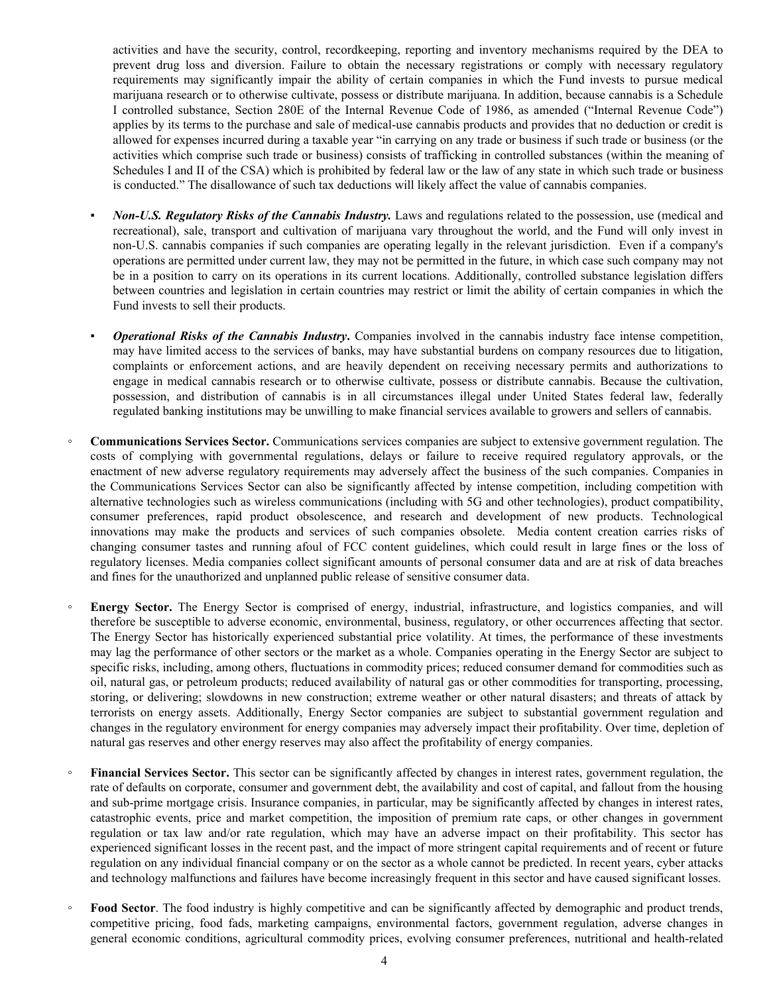activities and have the security, control, recordkeeping, reporting and inventory mechanisms required by the DEA to prevent drug loss and diversion. Failure to obtain the necessary registrations or comply with necessary regulatory requirements may significantly impair the ability of certain companies in which the Fund invests to pursue medical marijuana research or to otherwise cultivate, possess or distribute marijuana. In addition, because cannabis is a Schedule I controlled substance, Section 280E of the Internal Revenue Code of 1986, as amended ("Internal Revenue Code") applies by its terms to the purchase and sale of medical-use cannabis products and provides that no deduction or credit is allowed for expenses incurred during a taxable year "in carrying on any trade or business if such trade or business (or the activities which comprise such trade or business) consists of trafficking in controlled substances (within the meaning of Schedules I and II of the CSA) which is prohibited by federal law or the law of any state in which such trade or business is conducted." The disallowance of such tax deductions will likely affect the value of cannabis companies.

- *Non-U.S. Regulatory Risks of the Cannabis Industry.* Laws and regulations related to the possession, use (medical and recreational), sale, transport and cultivation of marijuana vary throughout the world, and the Fund will only invest in non-U.S. cannabis companies if such companies are operating legally in the relevant jurisdiction. Even if a company's operations are permitted under current law, they may not be permitted in the future, in which case such company may not be in a position to carry on its operations in its current locations. Additionally, controlled substance legislation differs between countries and legislation in certain countries may restrict or limit the ability of certain companies in which the Fund invests to sell their products.
- **Operational Risks of the Cannabis Industry.** Companies involved in the cannabis industry face intense competition, may have limited access to the services of banks, may have substantial burdens on company resources due to litigation, complaints or enforcement actions, and are heavily dependent on receiving necessary permits and authorizations to engage in medical cannabis research or to otherwise cultivate, possess or distribute cannabis. Because the cultivation, possession, and distribution of cannabis is in all circumstances illegal under United States federal law, federally regulated banking institutions may be unwilling to make financial services available to growers and sellers of cannabis.
- **Communications Services Sector.** Communications services companies are subject to extensive government regulation. The costs of complying with governmental regulations, delays or failure to receive required regulatory approvals, or the enactment of new adverse regulatory requirements may adversely affect the business of the such companies. Companies in the Communications Services Sector can also be significantly affected by intense competition, including competition with alternative technologies such as wireless communications (including with 5G and other technologies), product compatibility, consumer preferences, rapid product obsolescence, and research and development of new products. Technological innovations may make the products and services of such companies obsolete. Media content creation carries risks of changing consumer tastes and running afoul of FCC content guidelines, which could result in large fines or the loss of regulatory licenses. Media companies collect significant amounts of personal consumer data and are at risk of data breaches and fines for the unauthorized and unplanned public release of sensitive consumer data.
- **Energy Sector.** The Energy Sector is comprised of energy, industrial, infrastructure, and logistics companies, and will therefore be susceptible to adverse economic, environmental, business, regulatory, or other occurrences affecting that sector. The Energy Sector has historically experienced substantial price volatility. At times, the performance of these investments may lag the performance of other sectors or the market as a whole. Companies operating in the Energy Sector are subject to specific risks, including, among others, fluctuations in commodity prices; reduced consumer demand for commodities such as oil, natural gas, or petroleum products; reduced availability of natural gas or other commodities for transporting, processing, storing, or delivering; slowdowns in new construction; extreme weather or other natural disasters; and threats of attack by terrorists on energy assets. Additionally, Energy Sector companies are subject to substantial government regulation and changes in the regulatory environment for energy companies may adversely impact their profitability. Over time, depletion of natural gas reserves and other energy reserves may also affect the profitability of energy companies.
- Financial Services Sector. This sector can be significantly affected by changes in interest rates, government regulation, the rate of defaults on corporate, consumer and government debt, the availability and cost of capital, and fallout from the housing and sub-prime mortgage crisis. Insurance companies, in particular, may be significantly affected by changes in interest rates, catastrophic events, price and market competition, the imposition of premium rate caps, or other changes in government regulation or tax law and/or rate regulation, which may have an adverse impact on their profitability. This sector has experienced significant losses in the recent past, and the impact of more stringent capital requirements and of recent or future regulation on any individual financial company or on the sector as a whole cannot be predicted. In recent years, cyber attacks and technology malfunctions and failures have become increasingly frequent in this sector and have caused significant losses.
- Food Sector. The food industry is highly competitive and can be significantly affected by demographic and product trends, competitive pricing, food fads, marketing campaigns, environmental factors, government regulation, adverse changes in general economic conditions, agricultural commodity prices, evolving consumer preferences, nutritional and health-related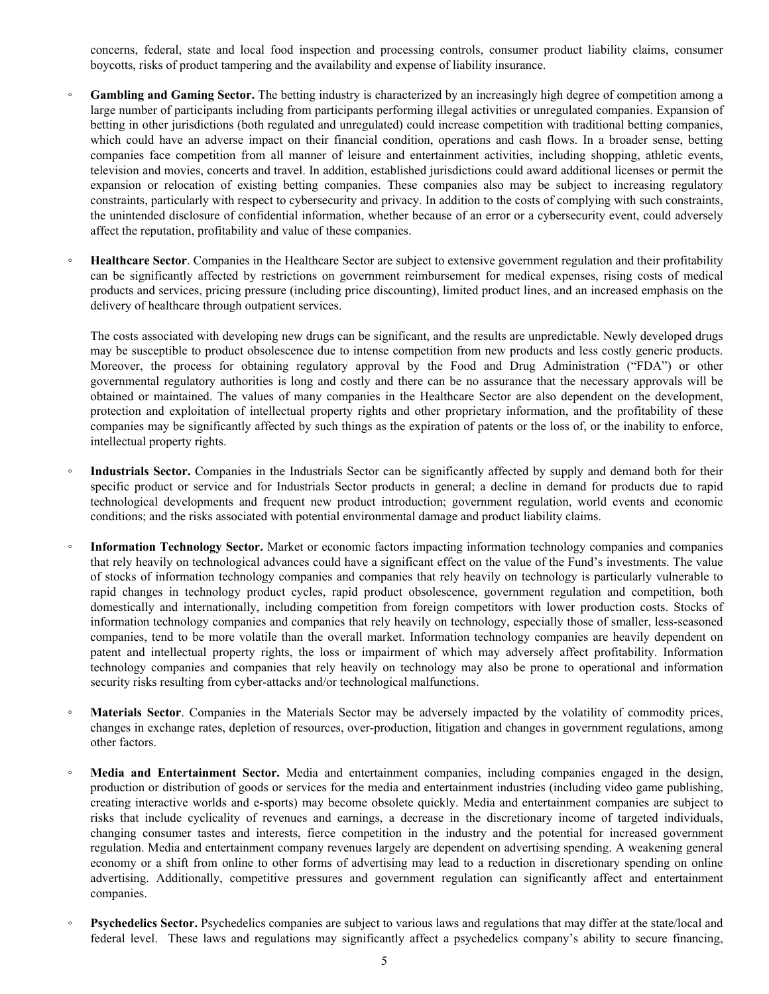concerns, federal, state and local food inspection and processing controls, consumer product liability claims, consumer boycotts, risks of product tampering and the availability and expense of liability insurance.

- **Gambling and Gaming Sector.** The betting industry is characterized by an increasingly high degree of competition among a large number of participants including from participants performing illegal activities or unregulated companies. Expansion of betting in other jurisdictions (both regulated and unregulated) could increase competition with traditional betting companies, which could have an adverse impact on their financial condition, operations and cash flows. In a broader sense, betting companies face competition from all manner of leisure and entertainment activities, including shopping, athletic events, television and movies, concerts and travel. In addition, established jurisdictions could award additional licenses or permit the expansion or relocation of existing betting companies. These companies also may be subject to increasing regulatory constraints, particularly with respect to cybersecurity and privacy. In addition to the costs of complying with such constraints, the unintended disclosure of confidential information, whether because of an error or a cybersecurity event, could adversely affect the reputation, profitability and value of these companies.
- **Healthcare Sector**. Companies in the Healthcare Sector are subject to extensive government regulation and their profitability can be significantly affected by restrictions on government reimbursement for medical expenses, rising costs of medical products and services, pricing pressure (including price discounting), limited product lines, and an increased emphasis on the delivery of healthcare through outpatient services.

The costs associated with developing new drugs can be significant, and the results are unpredictable. Newly developed drugs may be susceptible to product obsolescence due to intense competition from new products and less costly generic products. Moreover, the process for obtaining regulatory approval by the Food and Drug Administration ("FDA") or other governmental regulatory authorities is long and costly and there can be no assurance that the necessary approvals will be obtained or maintained. The values of many companies in the Healthcare Sector are also dependent on the development, protection and exploitation of intellectual property rights and other proprietary information, and the profitability of these companies may be significantly affected by such things as the expiration of patents or the loss of, or the inability to enforce, intellectual property rights.

- Industrials Sector. Companies in the Industrials Sector can be significantly affected by supply and demand both for their specific product or service and for Industrials Sector products in general; a decline in demand for products due to rapid technological developments and frequent new product introduction; government regulation, world events and economic conditions; and the risks associated with potential environmental damage and product liability claims.
- **Information Technology Sector.** Market or economic factors impacting information technology companies and companies that rely heavily on technological advances could have a significant effect on the value of the Fund's investments. The value of stocks of information technology companies and companies that rely heavily on technology is particularly vulnerable to rapid changes in technology product cycles, rapid product obsolescence, government regulation and competition, both domestically and internationally, including competition from foreign competitors with lower production costs. Stocks of information technology companies and companies that rely heavily on technology, especially those of smaller, less-seasoned companies, tend to be more volatile than the overall market. Information technology companies are heavily dependent on patent and intellectual property rights, the loss or impairment of which may adversely affect profitability. Information technology companies and companies that rely heavily on technology may also be prone to operational and information security risks resulting from cyber-attacks and/or technological malfunctions.
- **Materials Sector**. Companies in the Materials Sector may be adversely impacted by the volatility of commodity prices, changes in exchange rates, depletion of resources, over-production, litigation and changes in government regulations, among other factors.
- **Media and Entertainment Sector.** Media and entertainment companies, including companies engaged in the design, production or distribution of goods or services for the media and entertainment industries (including video game publishing, creating interactive worlds and e-sports) may become obsolete quickly. Media and entertainment companies are subject to risks that include cyclicality of revenues and earnings, a decrease in the discretionary income of targeted individuals, changing consumer tastes and interests, fierce competition in the industry and the potential for increased government regulation. Media and entertainment company revenues largely are dependent on advertising spending. A weakening general economy or a shift from online to other forms of advertising may lead to a reduction in discretionary spending on online advertising. Additionally, competitive pressures and government regulation can significantly affect and entertainment companies.
- **Psychedelics Sector.** Psychedelics companies are subject to various laws and regulations that may differ at the state/local and federal level. These laws and regulations may significantly affect a psychedelics company's ability to secure financing,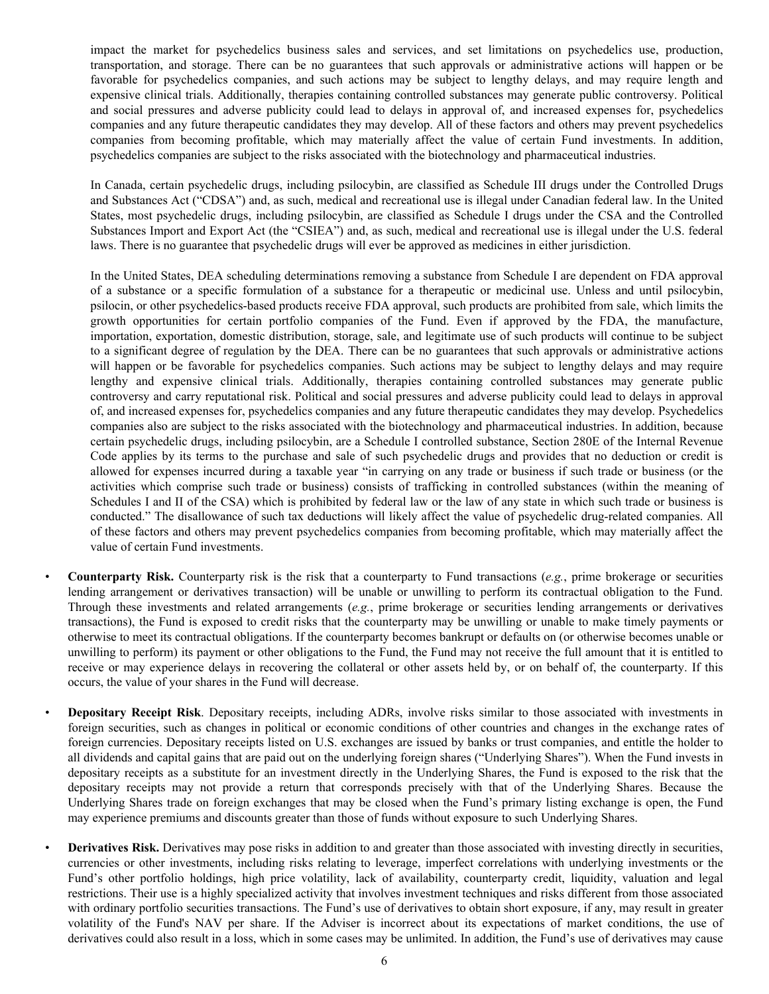impact the market for psychedelics business sales and services, and set limitations on psychedelics use, production, transportation, and storage. There can be no guarantees that such approvals or administrative actions will happen or be favorable for psychedelics companies, and such actions may be subject to lengthy delays, and may require length and expensive clinical trials. Additionally, therapies containing controlled substances may generate public controversy. Political and social pressures and adverse publicity could lead to delays in approval of, and increased expenses for, psychedelics companies and any future therapeutic candidates they may develop. All of these factors and others may prevent psychedelics companies from becoming profitable, which may materially affect the value of certain Fund investments. In addition, psychedelics companies are subject to the risks associated with the biotechnology and pharmaceutical industries.

In Canada, certain psychedelic drugs, including psilocybin, are classified as Schedule III drugs under the Controlled Drugs and Substances Act ("CDSA") and, as such, medical and recreational use is illegal under Canadian federal law. In the United States, most psychedelic drugs, including psilocybin, are classified as Schedule I drugs under the CSA and the Controlled Substances Import and Export Act (the "CSIEA") and, as such, medical and recreational use is illegal under the U.S. federal laws. There is no guarantee that psychedelic drugs will ever be approved as medicines in either jurisdiction.

In the United States, DEA scheduling determinations removing a substance from Schedule I are dependent on FDA approval of a substance or a specific formulation of a substance for a therapeutic or medicinal use. Unless and until psilocybin, psilocin, or other psychedelics-based products receive FDA approval, such products are prohibited from sale, which limits the growth opportunities for certain portfolio companies of the Fund. Even if approved by the FDA, the manufacture, importation, exportation, domestic distribution, storage, sale, and legitimate use of such products will continue to be subject to a significant degree of regulation by the DEA. There can be no guarantees that such approvals or administrative actions will happen or be favorable for psychedelics companies. Such actions may be subject to lengthy delays and may require lengthy and expensive clinical trials. Additionally, therapies containing controlled substances may generate public controversy and carry reputational risk. Political and social pressures and adverse publicity could lead to delays in approval of, and increased expenses for, psychedelics companies and any future therapeutic candidates they may develop. Psychedelics companies also are subject to the risks associated with the biotechnology and pharmaceutical industries. In addition, because certain psychedelic drugs, including psilocybin, are a Schedule I controlled substance, Section 280E of the Internal Revenue Code applies by its terms to the purchase and sale of such psychedelic drugs and provides that no deduction or credit is allowed for expenses incurred during a taxable year "in carrying on any trade or business if such trade or business (or the activities which comprise such trade or business) consists of trafficking in controlled substances (within the meaning of Schedules I and II of the CSA) which is prohibited by federal law or the law of any state in which such trade or business is conducted." The disallowance of such tax deductions will likely affect the value of psychedelic drug-related companies. All of these factors and others may prevent psychedelics companies from becoming profitable, which may materially affect the value of certain Fund investments.

- **Counterparty Risk.** Counterparty risk is the risk that a counterparty to Fund transactions (*e.g.*, prime brokerage or securities lending arrangement or derivatives transaction) will be unable or unwilling to perform its contractual obligation to the Fund. Through these investments and related arrangements (*e.g.*, prime brokerage or securities lending arrangements or derivatives transactions), the Fund is exposed to credit risks that the counterparty may be unwilling or unable to make timely payments or otherwise to meet its contractual obligations. If the counterparty becomes bankrupt or defaults on (or otherwise becomes unable or unwilling to perform) its payment or other obligations to the Fund, the Fund may not receive the full amount that it is entitled to receive or may experience delays in recovering the collateral or other assets held by, or on behalf of, the counterparty. If this occurs, the value of your shares in the Fund will decrease.
- **Depositary Receipt Risk**. Depositary receipts, including ADRs, involve risks similar to those associated with investments in foreign securities, such as changes in political or economic conditions of other countries and changes in the exchange rates of foreign currencies. Depositary receipts listed on U.S. exchanges are issued by banks or trust companies, and entitle the holder to all dividends and capital gains that are paid out on the underlying foreign shares ("Underlying Shares"). When the Fund invests in depositary receipts as a substitute for an investment directly in the Underlying Shares, the Fund is exposed to the risk that the depositary receipts may not provide a return that corresponds precisely with that of the Underlying Shares. Because the Underlying Shares trade on foreign exchanges that may be closed when the Fund's primary listing exchange is open, the Fund may experience premiums and discounts greater than those of funds without exposure to such Underlying Shares.
- **Derivatives Risk.** Derivatives may pose risks in addition to and greater than those associated with investing directly in securities, currencies or other investments, including risks relating to leverage, imperfect correlations with underlying investments or the Fund's other portfolio holdings, high price volatility, lack of availability, counterparty credit, liquidity, valuation and legal restrictions. Their use is a highly specialized activity that involves investment techniques and risks different from those associated with ordinary portfolio securities transactions. The Fund's use of derivatives to obtain short exposure, if any, may result in greater volatility of the Fund's NAV per share. If the Adviser is incorrect about its expectations of market conditions, the use of derivatives could also result in a loss, which in some cases may be unlimited. In addition, the Fund's use of derivatives may cause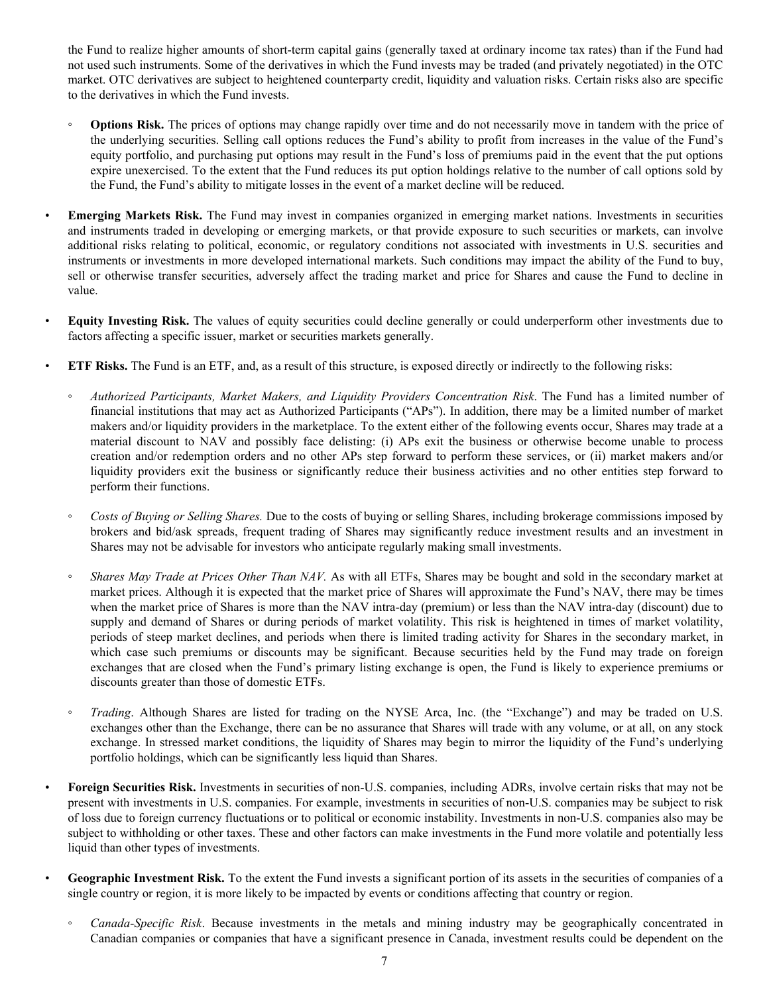the Fund to realize higher amounts of short-term capital gains (generally taxed at ordinary income tax rates) than if the Fund had not used such instruments. Some of the derivatives in which the Fund invests may be traded (and privately negotiated) in the OTC market. OTC derivatives are subject to heightened counterparty credit, liquidity and valuation risks. Certain risks also are specific to the derivatives in which the Fund invests.

- **Options Risk.** The prices of options may change rapidly over time and do not necessarily move in tandem with the price of the underlying securities. Selling call options reduces the Fund's ability to profit from increases in the value of the Fund's equity portfolio, and purchasing put options may result in the Fund's loss of premiums paid in the event that the put options expire unexercised. To the extent that the Fund reduces its put option holdings relative to the number of call options sold by the Fund, the Fund's ability to mitigate losses in the event of a market decline will be reduced.
- **Emerging Markets Risk.** The Fund may invest in companies organized in emerging market nations. Investments in securities and instruments traded in developing or emerging markets, or that provide exposure to such securities or markets, can involve additional risks relating to political, economic, or regulatory conditions not associated with investments in U.S. securities and instruments or investments in more developed international markets. Such conditions may impact the ability of the Fund to buy, sell or otherwise transfer securities, adversely affect the trading market and price for Shares and cause the Fund to decline in value.
- **Equity Investing Risk.** The values of equity securities could decline generally or could underperform other investments due to factors affecting a specific issuer, market or securities markets generally.
- **ETF Risks.** The Fund is an ETF, and, as a result of this structure, is exposed directly or indirectly to the following risks:
	- *Authorized Participants, Market Makers, and Liquidity Providers Concentration Risk*. The Fund has a limited number of financial institutions that may act as Authorized Participants ("APs"). In addition, there may be a limited number of market makers and/or liquidity providers in the marketplace. To the extent either of the following events occur, Shares may trade at a material discount to NAV and possibly face delisting: (i) APs exit the business or otherwise become unable to process creation and/or redemption orders and no other APs step forward to perform these services, or (ii) market makers and/or liquidity providers exit the business or significantly reduce their business activities and no other entities step forward to perform their functions.
	- *Costs of Buying or Selling Shares.* Due to the costs of buying or selling Shares, including brokerage commissions imposed by brokers and bid/ask spreads, frequent trading of Shares may significantly reduce investment results and an investment in Shares may not be advisable for investors who anticipate regularly making small investments.
	- *Shares May Trade at Prices Other Than NAV.* As with all ETFs, Shares may be bought and sold in the secondary market at market prices. Although it is expected that the market price of Shares will approximate the Fund's NAV, there may be times when the market price of Shares is more than the NAV intra-day (premium) or less than the NAV intra-day (discount) due to supply and demand of Shares or during periods of market volatility. This risk is heightened in times of market volatility, periods of steep market declines, and periods when there is limited trading activity for Shares in the secondary market, in which case such premiums or discounts may be significant. Because securities held by the Fund may trade on foreign exchanges that are closed when the Fund's primary listing exchange is open, the Fund is likely to experience premiums or discounts greater than those of domestic ETFs.
	- *Trading*. Although Shares are listed for trading on the NYSE Arca, Inc. (the "Exchange") and may be traded on U.S. exchanges other than the Exchange, there can be no assurance that Shares will trade with any volume, or at all, on any stock exchange. In stressed market conditions, the liquidity of Shares may begin to mirror the liquidity of the Fund's underlying portfolio holdings, which can be significantly less liquid than Shares.
	- **Foreign Securities Risk.** Investments in securities of non-U.S. companies, including ADRs, involve certain risks that may not be present with investments in U.S. companies. For example, investments in securities of non-U.S. companies may be subject to risk of loss due to foreign currency fluctuations or to political or economic instability. Investments in non-U.S. companies also may be subject to withholding or other taxes. These and other factors can make investments in the Fund more volatile and potentially less liquid than other types of investments.
	- **Geographic Investment Risk.** To the extent the Fund invests a significant portion of its assets in the securities of companies of a single country or region, it is more likely to be impacted by events or conditions affecting that country or region.
		- *Canada-Specific Risk*. Because investments in the metals and mining industry may be geographically concentrated in Canadian companies or companies that have a significant presence in Canada, investment results could be dependent on the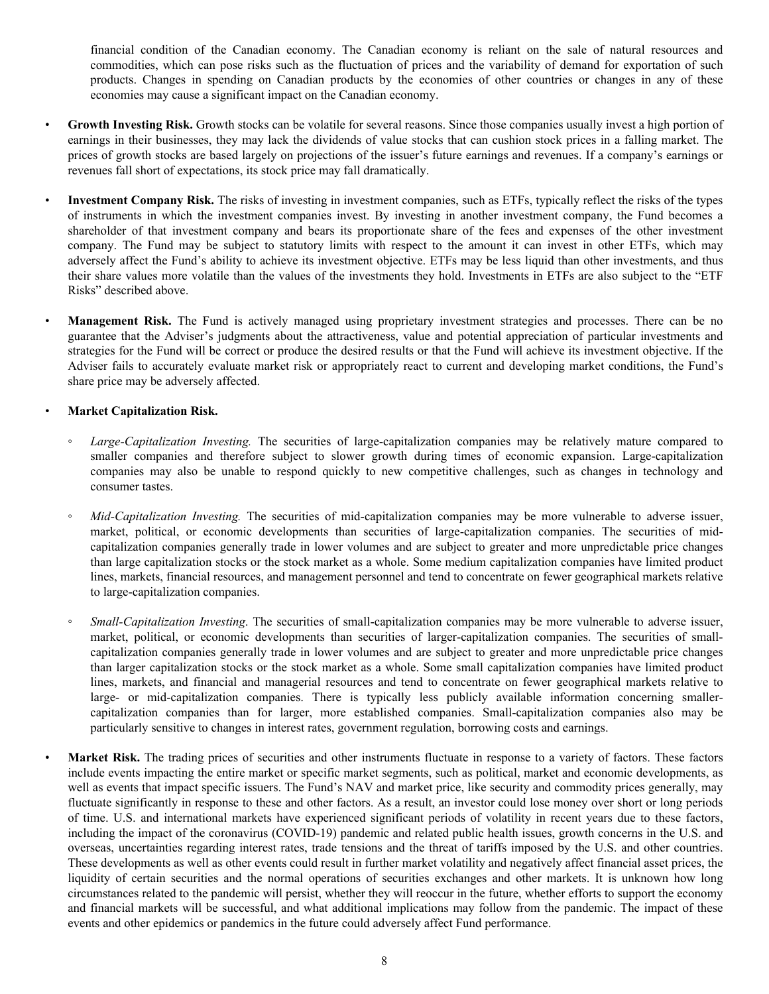financial condition of the Canadian economy. The Canadian economy is reliant on the sale of natural resources and commodities, which can pose risks such as the fluctuation of prices and the variability of demand for exportation of such products. Changes in spending on Canadian products by the economies of other countries or changes in any of these economies may cause a significant impact on the Canadian economy.

- Growth Investing Risk. Growth stocks can be volatile for several reasons. Since those companies usually invest a high portion of earnings in their businesses, they may lack the dividends of value stocks that can cushion stock prices in a falling market. The prices of growth stocks are based largely on projections of the issuer's future earnings and revenues. If a company's earnings or revenues fall short of expectations, its stock price may fall dramatically.
- **Investment Company Risk.** The risks of investing in investment companies, such as ETFs, typically reflect the risks of the types of instruments in which the investment companies invest. By investing in another investment company, the Fund becomes a shareholder of that investment company and bears its proportionate share of the fees and expenses of the other investment company. The Fund may be subject to statutory limits with respect to the amount it can invest in other ETFs, which may adversely affect the Fund's ability to achieve its investment objective. ETFs may be less liquid than other investments, and thus their share values more volatile than the values of the investments they hold. Investments in ETFs are also subject to the "ETF Risks" described above.
- **Management Risk.** The Fund is actively managed using proprietary investment strategies and processes. There can be no guarantee that the Adviser's judgments about the attractiveness, value and potential appreciation of particular investments and strategies for the Fund will be correct or produce the desired results or that the Fund will achieve its investment objective. If the Adviser fails to accurately evaluate market risk or appropriately react to current and developing market conditions, the Fund's share price may be adversely affected.

# • **Market Capitalization Risk.**

- *Large-Capitalization Investing.* The securities of large-capitalization companies may be relatively mature compared to smaller companies and therefore subject to slower growth during times of economic expansion. Large-capitalization companies may also be unable to respond quickly to new competitive challenges, such as changes in technology and consumer tastes.
- *Mid-Capitalization Investing.* The securities of mid-capitalization companies may be more vulnerable to adverse issuer, market, political, or economic developments than securities of large-capitalization companies. The securities of midcapitalization companies generally trade in lower volumes and are subject to greater and more unpredictable price changes than large capitalization stocks or the stock market as a whole. Some medium capitalization companies have limited product lines, markets, financial resources, and management personnel and tend to concentrate on fewer geographical markets relative to large-capitalization companies.
- *Small-Capitalization Investing*. The securities of small-capitalization companies may be more vulnerable to adverse issuer, market, political, or economic developments than securities of larger-capitalization companies. The securities of smallcapitalization companies generally trade in lower volumes and are subject to greater and more unpredictable price changes than larger capitalization stocks or the stock market as a whole. Some small capitalization companies have limited product lines, markets, and financial and managerial resources and tend to concentrate on fewer geographical markets relative to large- or mid-capitalization companies. There is typically less publicly available information concerning smallercapitalization companies than for larger, more established companies. Small-capitalization companies also may be particularly sensitive to changes in interest rates, government regulation, borrowing costs and earnings.

Market Risk. The trading prices of securities and other instruments fluctuate in response to a variety of factors. These factors include events impacting the entire market or specific market segments, such as political, market and economic developments, as well as events that impact specific issuers. The Fund's NAV and market price, like security and commodity prices generally, may fluctuate significantly in response to these and other factors. As a result, an investor could lose money over short or long periods of time. U.S. and international markets have experienced significant periods of volatility in recent years due to these factors, including the impact of the coronavirus (COVID-19) pandemic and related public health issues, growth concerns in the U.S. and overseas, uncertainties regarding interest rates, trade tensions and the threat of tariffs imposed by the U.S. and other countries. These developments as well as other events could result in further market volatility and negatively affect financial asset prices, the liquidity of certain securities and the normal operations of securities exchanges and other markets. It is unknown how long circumstances related to the pandemic will persist, whether they will reoccur in the future, whether efforts to support the economy and financial markets will be successful, and what additional implications may follow from the pandemic. The impact of these events and other epidemics or pandemics in the future could adversely affect Fund performance.